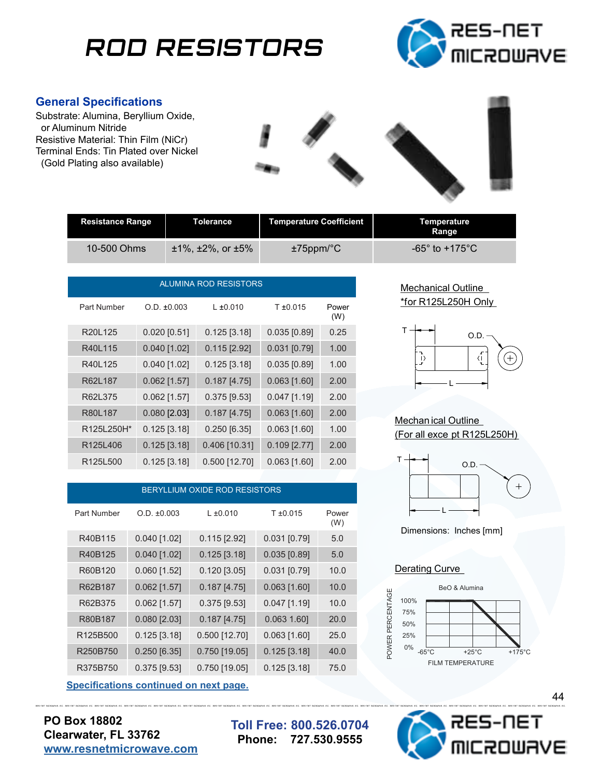# **ROD RESISTORS**



### **General Specifications**

Substrate: Alumina, Beryllium Oxide, or Aluminum Nitride Resistive Material: Thin Film (NiCr) Terminal Ends: Tin Plated over Nickel (Gold Plating also available)



| <b>Resistance Range</b> | <b>Tolerance</b>            | Temperature Coefficient | Temperature<br>Range          |
|-------------------------|-----------------------------|-------------------------|-------------------------------|
| 10-500 Ohms             | $±1\%$ . $±2\%$ . or $±5\%$ | $±75$ ppm/ $°C$         | $-65^\circ$ to $+175^\circ$ C |

| <b>ALUMINA ROD RESISTORS</b>      |                  |                 |                     |              |
|-----------------------------------|------------------|-----------------|---------------------|--------------|
| Part Number                       | $O.D. \pm 0.003$ | $L_{\pm 0.010}$ | T <sub>±0.015</sub> | Power<br>(W) |
| R20L125                           | $0.020$ [0.51]   | $0.125$ [3.18]  | $0.035$ [0.89]      | 0.25         |
| R40L115                           | $0.040$ [1.02]   | $0.115$ [2.92]  | $0.031$ [0.79]      | 1.00         |
| R40L125                           | $0.040$ [1.02]   | $0.125$ [3.18]  | $0.035$ [0.89]      | 1.00         |
| R62L187                           | $0.062$ [1.57]   | $0.187$ [4.75]  | $0.063$ [1.60]      | 2.00         |
| R62L375                           | $0.062$ [1.57]   | $0.375$ [9.53]  | $0.047$ [1.19]      | 2.00         |
| R80L187                           | $0.080$ [2.03]   | $0.187$ [4.75]  | $0.063$ [1.60]      | 2.00         |
| R125L250H*                        | $0.125$ [3.18]   | $0.250$ [6.35]  | $0.063$ [1.60]      | 1.00         |
| R125L406                          | $0.125$ [3.18]   | 0.406 [10.31]   | $0.109$ [2.77]      | 2.00         |
| R <sub>125</sub> L <sub>500</sub> | $0.125$ [3.18]   | $0.500$ [12.70] | $0.063$ [1.60]      | 2.00         |

| <b>BERYLLIUM OXIDE ROD RESISTORS</b> |                |                 |                |              |
|--------------------------------------|----------------|-----------------|----------------|--------------|
| Part Number                          | O.D. ±0.003    | $L \pm 0.010$   | $T \pm 0.015$  | Power<br>(W) |
| R40B115                              | $0.040$ [1.02] | $0.115$ [2.92]  | $0.031$ [0.79] | 5.0          |
| R40B125                              | $0.040$ [1.02] | $0.125$ [3.18]  | $0.035$ [0.89] | 5.0          |
| R60B120                              | $0.060$ [1.52] | $0.120$ [3.05]  | $0.031$ [0.79] | 10.0         |
| R62B187                              | $0.062$ [1.57] | $0.187$ [4.75]  | $0.063$ [1.60] | 10.0         |
| R62B375                              | $0.062$ [1.57] | $0.375$ [9.53]  | $0.047$ [1.19] | 10.0         |
| R80B187                              | $0.080$ [2.03] | $0.187$ [4.75]  | $0.063$ 1.60]  | 20.0         |
| R <sub>125</sub> B <sub>500</sub>    | $0.125$ [3.18] | $0.500$ [12.70] | $0.063$ [1.60] | 25.0         |
| R250B750                             | $0.250$ [6.35] | $0.750$ [19.05] | $0.125$ [3.18] | 40.0         |
| R375B750                             | $0.375$ [9.53] | $0.750$ [19.05] | $0.125$ [3.18] | 75.0         |

**Specifications continued on next page.** 

**PO Box 18802 Clearwater, FL 33762 [www.resnetmicrowave.com](http://www.resnetmicrowave.com)**

**Toll Free: 800.526.0704 Phone: 727.530.9555**





### Mechan ical Outline (For all exce pt R125L250H)



Dimensions: Inches [mm]

#### Derating Curve



RES-OST OCROBRYS, INC. RES-OST OCROBRYS, INC. RES-OST OCROBRYS, INC. RES-OST OCROBRYS, INC. RES-OST OCROBRYS, INC. RES-OST OCROBRYS, INC. RES-OST OCROBRYS, INC. RES-OST OCROBRYS, INC. RES-OST OCROBRYS, INC. RES-OST OCROBRY -NET **OURVE** 

44